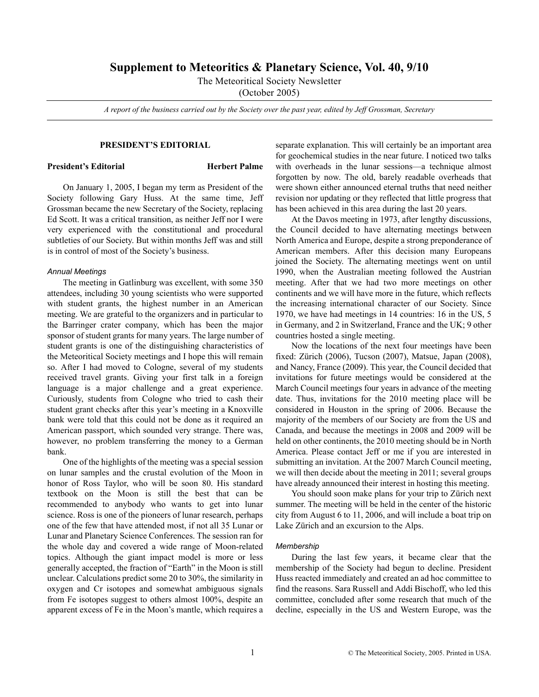# **Supplement to Meteoritics & Planetary Science, Vol. 40, 9/10**

The Meteoritical Society Newsletter

(October 2005)

*A report of the business carried out by the Society over the past year, edited by Jeff Grossman, Secretary*

# **PRESIDENT'S EDITORIAL**

#### **President's Editorial Herbert Palme**

On January 1, 2005, I began my term as President of the Society following Gary Huss. At the same time, Jeff Grossman became the new Secretary of the Society, replacing Ed Scott. It was a critical transition, as neither Jeff nor I were very experienced with the constitutional and procedural subtleties of our Society. But within months Jeff was and still is in control of most of the Society's business.

# *Annual Meetings*

The meeting in Gatlinburg was excellent, with some 350 attendees, including 30 young scientists who were supported with student grants, the highest number in an American meeting. We are grateful to the organizers and in particular to the Barringer crater company, which has been the major sponsor of student grants for many years. The large number of student grants is one of the distinguishing characteristics of the Meteoritical Society meetings and I hope this will remain so. After I had moved to Cologne, several of my students received travel grants. Giving your first talk in a foreign language is a major challenge and a great experience. Curiously, students from Cologne who tried to cash their student grant checks after this year's meeting in a Knoxville bank were told that this could not be done as it required an American passport, which sounded very strange. There was, however, no problem transferring the money to a German bank.

One of the highlights of the meeting was a special session on lunar samples and the crustal evolution of the Moon in honor of Ross Taylor, who will be soon 80. His standard textbook on the Moon is still the best that can be recommended to anybody who wants to get into lunar science. Ross is one of the pioneers of lunar research, perhaps one of the few that have attended most, if not all 35 Lunar or Lunar and Planetary Science Conferences. The session ran for the whole day and covered a wide range of Moon-related topics. Although the giant impact model is more or less generally accepted, the fraction of "Earth" in the Moon is still unclear. Calculations predict some 20 to 30%, the similarity in oxygen and Cr isotopes and somewhat ambiguous signals from Fe isotopes suggest to others almost 100%, despite an apparent excess of Fe in the Moon's mantle, which requires a

separate explanation. This will certainly be an important area for geochemical studies in the near future. I noticed two talks with overheads in the lunar sessions—a technique almost forgotten by now. The old, barely readable overheads that were shown either announced eternal truths that need neither revision nor updating or they reflected that little progress that has been achieved in this area during the last 20 years.

At the Davos meeting in 1973, after lengthy discussions, the Council decided to have alternating meetings between North America and Europe, despite a strong preponderance of American members. After this decision many Europeans joined the Society. The alternating meetings went on until 1990, when the Australian meeting followed the Austrian meeting. After that we had two more meetings on other continents and we will have more in the future, which reflects the increasing international character of our Society. Since 1970, we have had meetings in 14 countries: 16 in the US, 5 in Germany, and 2 in Switzerland, France and the UK; 9 other countries hosted a single meeting.

Now the locations of the next four meetings have been fixed: Zürich (2006), Tucson (2007), Matsue, Japan (2008), and Nancy, France (2009). This year, the Council decided that invitations for future meetings would be considered at the March Council meetings four years in advance of the meeting date. Thus, invitations for the 2010 meeting place will be considered in Houston in the spring of 2006. Because the majority of the members of our Society are from the US and Canada, and because the meetings in 2008 and 2009 will be held on other continents, the 2010 meeting should be in North America. Please contact Jeff or me if you are interested in submitting an invitation. At the 2007 March Council meeting, we will then decide about the meeting in 2011; several groups have already announced their interest in hosting this meeting.

You should soon make plans for your trip to Zürich next summer. The meeting will be held in the center of the historic city from August 6 to 11, 2006, and will include a boat trip on Lake Zürich and an excursion to the Alps.

### *Membership*

During the last few years, it became clear that the membership of the Society had begun to decline. President Huss reacted immediately and created an ad hoc committee to find the reasons. Sara Russell and Addi Bischoff, who led this committee, concluded after some research that much of the decline, especially in the US and Western Europe, was the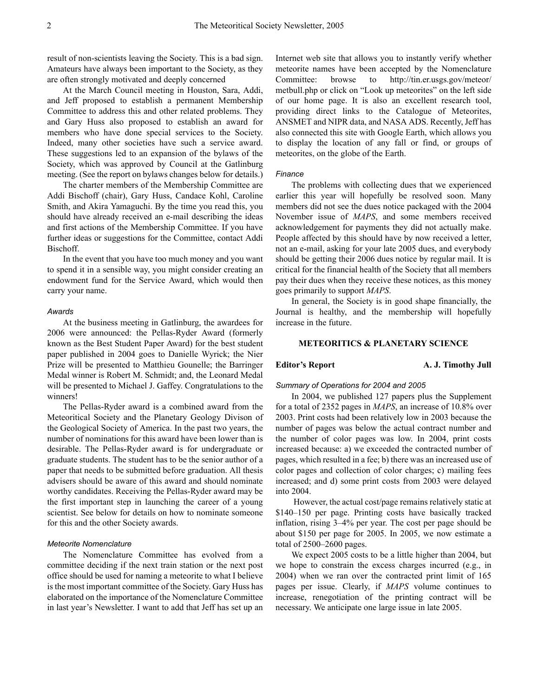result of non-scientists leaving the Society. This is a bad sign. Amateurs have always been important to the Society, as they are often strongly motivated and deeply concerned

At the March Council meeting in Houston, Sara, Addi, and Jeff proposed to establish a permanent Membership Committee to address this and other related problems. They and Gary Huss also proposed to establish an award for members who have done special services to the Society. Indeed, many other societies have such a service award. These suggestions led to an expansion of the bylaws of the Society, which was approved by Council at the Gatlinburg meeting. (See the report on bylaws changes below for details.)

The charter members of the Membership Committee are Addi Bischoff (chair), Gary Huss, Candace Kohl, Caroline Smith, and Akira Yamaguchi. By the time you read this, you should have already received an e-mail describing the ideas and first actions of the Membership Committee. If you have further ideas or suggestions for the Committee, contact Addi Bischoff.

In the event that you have too much money and you want to spend it in a sensible way, you might consider creating an endowment fund for the Service Award, which would then carry your name.

#### *Awards*

At the business meeting in Gatlinburg, the awardees for 2006 were announced: the Pellas-Ryder Award (formerly known as the Best Student Paper Award) for the best student paper published in 2004 goes to Danielle Wyrick; the Nier Prize will be presented to Matthieu Gounelle; the Barringer Medal winner is Robert M. Schmidt; and, the Leonard Medal will be presented to Michael J. Gaffey. Congratulations to the winners!

The Pellas-Ryder award is a combined award from the Meteoritical Society and the Planetary Geology Divison of the Geological Society of America. In the past two years, the number of nominations for this award have been lower than is desirable. The Pellas-Ryder award is for undergraduate or graduate students. The student has to be the senior author of a paper that needs to be submitted before graduation. All thesis advisers should be aware of this award and should nominate worthy candidates. Receiving the Pellas-Ryder award may be the first important step in launching the career of a young scientist. See below for details on how to nominate someone for this and the other Society awards.

### *Meteorite Nomenclature*

The Nomenclature Committee has evolved from a committee deciding if the next train station or the next post office should be used for naming a meteorite to what I believe is the most important committee of the Society. Gary Huss has elaborated on the importance of the Nomenclature Committee in last year's Newsletter. I want to add that Jeff has set up an

Internet web site that allows you to instantly verify whether meteorite names have been accepted by the Nomenclature Committee: browse to <http://tin.er.usgs.gov/meteor/> metbull.php or click on "Look up meteorites" on the left side of our home page. It is also an excellent research tool, providing direct links to the Catalogue of Meteorites, ANSMET and NIPR data, and NASA ADS. Recently, Jeff has also connected this site with Google Earth, which allows you to display the location of any fall or find, or groups of meteorites, on the globe of the Earth.

#### *Finance*

The problems with collecting dues that we experienced earlier this year will hopefully be resolved soon. Many members did not see the dues notice packaged with the 2004 November issue of *MAPS*, and some members received acknowledgement for payments they did not actually make. People affected by this should have by now received a letter, not an e-mail, asking for your late 2005 dues, and everybody should be getting their 2006 dues notice by regular mail. It is critical for the financial health of the Society that all members pay their dues when they receive these notices, as this money goes primarily to support *MAPS*.

In general, the Society is in good shape financially, the Journal is healthy, and the membership will hopefully increase in the future.

### **METEORITICS & PLANETARY SCIENCE**

**Editor's Report A. J. Timothy Jull** 

#### *Summary of Operations for 2004 and 2005*

In 2004, we published 127 papers plus the Supplement for a total of 2352 pages in *MAPS*, an increase of 10.8% over 2003. Print costs had been relatively low in 2003 because the number of pages was below the actual contract number and the number of color pages was low. In 2004, print costs increased because: a) we exceeded the contracted number of pages, which resulted in a fee; b) there was an increased use of color pages and collection of color charges; c) mailing fees increased; and d) some print costs from 2003 were delayed into 2004.

 However, the actual cost/page remains relatively static at \$140–150 per page. Printing costs have basically tracked inflation, rising 3–4% per year. The cost per page should be about \$150 per page for 2005. In 2005, we now estimate a total of 2500–2600 pages.

We expect 2005 costs to be a little higher than 2004, but we hope to constrain the excess charges incurred (e.g., in 2004) when we ran over the contracted print limit of 165 pages per issue. Clearly, if *MAPS* volume continues to increase, renegotiation of the printing contract will be necessary. We anticipate one large issue in late 2005.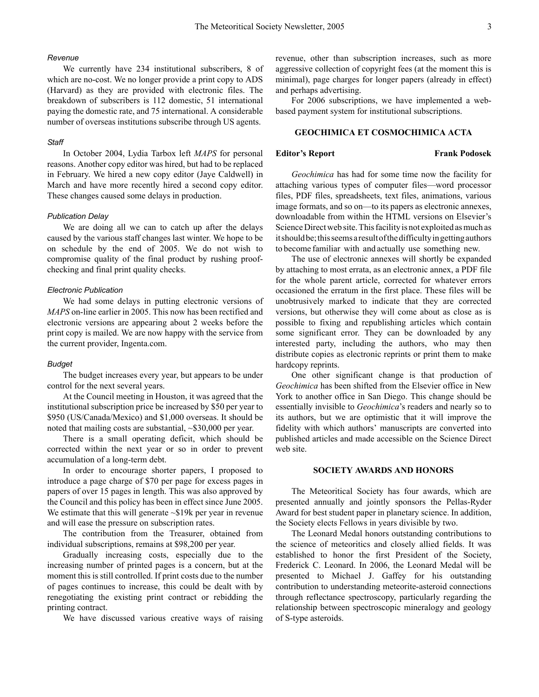# *Revenue*

We currently have 234 institutional subscribers, 8 of which are no-cost. We no longer provide a print copy to ADS (Harvard) as they are provided with electronic files. The breakdown of subscribers is 112 domestic, 51 international paying the domestic rate, and 75 international. A considerable number of overseas institutions subscribe through US agents.

#### *Staff*

In October 2004, Lydia Tarbox left *MAPS* for personal reasons. Another copy editor was hired, but had to be replaced in February. We hired a new copy editor (Jaye Caldwell) in March and have more recently hired a second copy editor. These changes caused some delays in production.

# *Publication Delay*

We are doing all we can to catch up after the delays caused by the various staff changes last winter. We hope to be on schedule by the end of 2005. We do not wish to compromise quality of the final product by rushing proofchecking and final print quality checks.

### *Electronic Publication*

We had some delays in putting electronic versions of *MAPS* on-line earlier in 2005. This now has been rectified and electronic versions are appearing about 2 weeks before the print copy is mailed. We are now happy with the service from the current provider, Ingenta.com.

#### *Budget*

The budget increases every year, but appears to be under control for the next several years.

At the Council meeting in Houston, it was agreed that the institutional subscription price be increased by \$50 per year to \$950 (US/Canada/Mexico) and \$1,000 overseas. It should be noted that mailing costs are substantial, ~\$30,000 per year.

There is a small operating deficit, which should be corrected within the next year or so in order to prevent accumulation of a long-term debt.

In order to encourage shorter papers, I proposed to introduce a page charge of \$70 per page for excess pages in papers of over 15 pages in length. This was also approved by the Council and this policy has been in effect since June 2005. We estimate that this will generate ~\$19k per year in revenue and will ease the pressure on subscription rates.

The contribution from the Treasurer, obtained from individual subscriptions, remains at \$98,200 per year.

Gradually increasing costs, especially due to the increasing number of printed pages is a concern, but at the moment this is still controlled. If print costs due to the number of pages continues to increase, this could be dealt with by renegotiating the existing print contract or rebidding the printing contract.

We have discussed various creative ways of raising

revenue, other than subscription increases, such as more aggressive collection of copyright fees (at the moment this is minimal), page charges for longer papers (already in effect) and perhaps advertising.

For 2006 subscriptions, we have implemented a webbased payment system for institutional subscriptions.

### **GEOCHIMICA ET COSMOCHIMICA ACTA**

### **Editor's Report Frank Podosek**

*Geochimica* has had for some time now the facility for attaching various types of computer files—word processor files, PDF files, spreadsheets, text files, animations, various image formats, and so on—to its papers as electronic annexes, downloadable from within the HTML versions on Elsevier's Science Direct web site. This facility is not exploited as much as it should be; this seems a result of the difficulty in getting authors to become familiar with and actually use something new.

The use of electronic annexes will shortly be expanded by attaching to most errata, as an electronic annex, a PDF file for the whole parent article, corrected for whatever errors occasioned the erratum in the first place. These files will be unobtrusively marked to indicate that they are corrected versions, but otherwise they will come about as close as is possible to fixing and republishing articles which contain some significant error. They can be downloaded by any interested party, including the authors, who may then distribute copies as electronic reprints or print them to make hardcopy reprints.

One other significant change is that production of *Geochimica* has been shifted from the Elsevier office in New York to another office in San Diego. This change should be essentially invisible to *Geochimica*'s readers and nearly so to its authors, but we are optimistic that it will improve the fidelity with which authors' manuscripts are converted into published articles and made accessible on the Science Direct web site.

# **SOCIETY AWARDS AND HONORS**

The Meteoritical Society has four awards, which are presented annually and jointly sponsors the Pellas-Ryder Award for best student paper in planetary science. In addition, the Society elects Fellows in years divisible by two.

The Leonard Medal honors outstanding contributions to the science of meteoritics and closely allied fields. It was established to honor the first President of the Society, Frederick C. Leonard. In 2006, the Leonard Medal will be presented to Michael J. Gaffey for his outstanding contribution to understanding meteorite-asteroid connections through reflectance spectroscopy, particularly regarding the relationship between spectroscopic mineralogy and geology of S-type asteroids.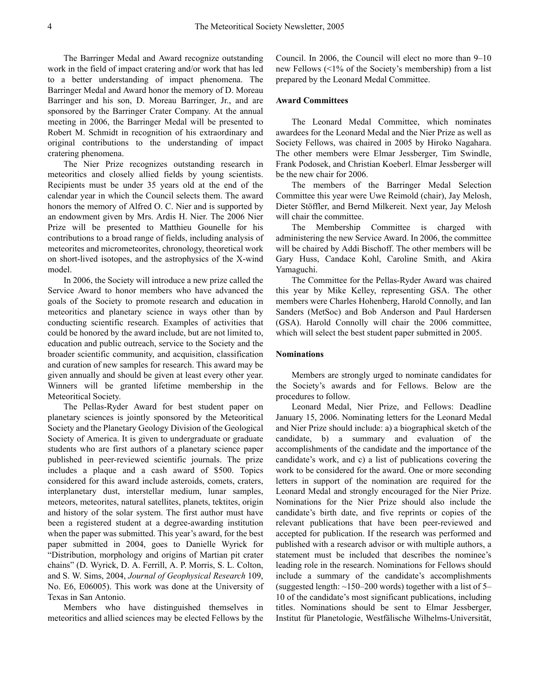The Barringer Medal and Award recognize outstanding work in the field of impact cratering and/or work that has led to a better understanding of impact phenomena. The Barringer Medal and Award honor the memory of D. Moreau Barringer and his son, D. Moreau Barringer, Jr., and are sponsored by the Barringer Crater Company. At the annual meeting in 2006, the Barringer Medal will be presented to Robert M. Schmidt in recognition of his extraordinary and original contributions to the understanding of impact cratering phenomena.

The Nier Prize recognizes outstanding research in meteoritics and closely allied fields by young scientists. Recipients must be under 35 years old at the end of the calendar year in which the Council selects them. The award honors the memory of Alfred O. C. Nier and is supported by an endowment given by Mrs. Ardis H. Nier. The 2006 Nier Prize will be presented to Matthieu Gounelle for his contributions to a broad range of fields, including analysis of meteorites and micrometeorites, chronology, theoretical work on short-lived isotopes, and the astrophysics of the X-wind model.

In 2006, the Society will introduce a new prize called the Service Award to honor members who have advanced the goals of the Society to promote research and education in meteoritics and planetary science in ways other than by conducting scientific research. Examples of activities that could be honored by the award include, but are not limited to, education and public outreach, service to the Society and the broader scientific community, and acquisition, classification and curation of new samples for research. This award may be given annually and should be given at least every other year. Winners will be granted lifetime membership in the Meteoritical Society.

The Pellas-Ryder Award for best student paper on planetary sciences is jointly sponsored by the Meteoritical Society and the Planetary Geology Division of the Geological Society of America. It is given to undergraduate or graduate students who are first authors of a planetary science paper published in peer-reviewed scientific journals. The prize includes a plaque and a cash award of \$500. Topics considered for this award include asteroids, comets, craters, interplanetary dust, interstellar medium, lunar samples, meteors, meteorites, natural satellites, planets, tektites, origin and history of the solar system. The first author must have been a registered student at a degree-awarding institution when the paper was submitted. This year's award, for the best paper submitted in 2004, goes to Danielle Wyrick for "Distribution, morphology and origins of Martian pit crater chains" (D. Wyrick, D. A. Ferrill, A. P. Morris, S. L. Colton, and S. W. Sims, 2004, *Journal of Geophysical Research* 109, No. E6, E06005). This work was done at the University of Texas in San Antonio.

Members who have distinguished themselves in meteoritics and allied sciences may be elected Fellows by the

Council. In 2006, the Council will elect no more than 9–10 new Fellows (<1% of the Society's membership) from a list prepared by the Leonard Medal Committee.

# **Award Committees**

The Leonard Medal Committee, which nominates awardees for the Leonard Medal and the Nier Prize as well as Society Fellows, was chaired in 2005 by Hiroko Nagahara. The other members were Elmar Jessberger, Tim Swindle, Frank Podosek, and Christian Koeberl. Elmar Jessberger will be the new chair for 2006.

The members of the Barringer Medal Selection Committee this year were Uwe Reimold (chair), Jay Melosh, Dieter Stöffler, and Bernd Milkereit. Next year, Jay Melosh will chair the committee.

The Membership Committee is charged with administering the new Service Award. In 2006, the committee will be chaired by Addi Bischoff. The other members will be Gary Huss, Candace Kohl, Caroline Smith, and Akira Yamaguchi.

The Committee for the Pellas-Ryder Award was chaired this year by Mike Kelley, representing GSA. The other members were Charles Hohenberg, Harold Connolly, and Ian Sanders (MetSoc) and Bob Anderson and Paul Hardersen (GSA). Harold Connolly will chair the 2006 committee, which will select the best student paper submitted in 2005.

### **Nominations**

Members are strongly urged to nominate candidates for the Society's awards and for Fellows. Below are the procedures to follow.

Leonard Medal, Nier Prize, and Fellows: Deadline January 15, 2006. Nominating letters for the Leonard Medal and Nier Prize should include: a) a biographical sketch of the candidate, b) a summary and evaluation of the accomplishments of the candidate and the importance of the candidate's work, and c) a list of publications covering the work to be considered for the award. One or more seconding letters in support of the nomination are required for the Leonard Medal and strongly encouraged for the Nier Prize. Nominations for the Nier Prize should also include the candidate's birth date, and five reprints or copies of the relevant publications that have been peer-reviewed and accepted for publication. If the research was performed and published with a research advisor or with multiple authors, a statement must be included that describes the nominee's leading role in the research. Nominations for Fellows should include a summary of the candidate's accomplishments (suggested length:  $\sim$ 150–200 words) together with a list of 5– 10 of the candidate's most significant publications, including titles. Nominations should be sent to Elmar Jessberger, Institut für Planetologie, Westfälische Wilhelms-Universität,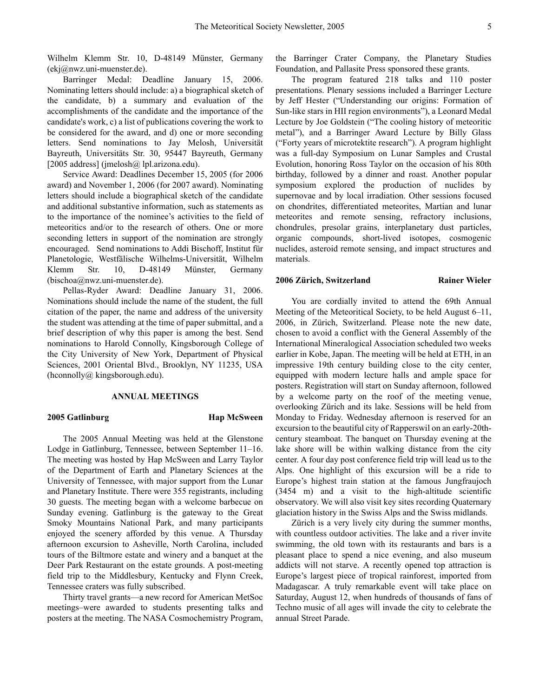Wilhelm Klemm Str. 10, D-48149 Münster, Germany (ekj@nwz.uni-muenster.de).

Barringer Medal: Deadline January 15, 2006. Nominating letters should include: a) a biographical sketch of the candidate, b) a summary and evaluation of the accomplishments of the candidate and the importance of the candidate's work, c) a list of publications covering the work to be considered for the award, and d) one or more seconding letters. Send nominations to Jay Melosh, Universität Bayreuth, Universitäts Str. 30, 95447 Bayreuth, Germany [2005 address] (jmelosh@ lpl.arizona.edu).

Service Award: Deadlines December 15, 2005 (for 2006 award) and November 1, 2006 (for 2007 award). Nominating letters should include a biographical sketch of the candidate and additional substantive information, such as statements as to the importance of the nominee's activities to the field of meteoritics and/or to the research of others. One or more seconding letters in support of the nomination are strongly encouraged. Send nominations to Addi Bischoff, Institut für Planetologie, Westfälische Wilhelms-Universität, Wilhelm Klemm Str. 10, D-48149 Münster, Germany (bischoa@nwz.uni-muenster.de).

Pellas-Ryder Award: Deadline January 31, 2006. Nominations should include the name of the student, the full citation of the paper, the name and address of the university the student was attending at the time of paper submittal, and a brief description of why this paper is among the best. Send nominations to Harold Connolly, Kingsborough College of the City University of New York, Department of Physical Sciences, 2001 Oriental Blvd., Brooklyn, NY 11235, USA (hconnolly@ kingsborough.edu).

### **ANNUAL MEETINGS**

#### **2005 Gatlinburg Hap McSween**

The 2005 Annual Meeting was held at the Glenstone Lodge in Gatlinburg, Tennessee, between September 11–16. The meeting was hosted by Hap McSween and Larry Taylor of the Department of Earth and Planetary Sciences at the University of Tennessee, with major support from the Lunar and Planetary Institute. There were 355 registrants, including 30 guests. The meeting began with a welcome barbecue on Sunday evening. Gatlinburg is the gateway to the Great Smoky Mountains National Park, and many participants enjoyed the scenery afforded by this venue. A Thursday afternoon excursion to Asheville, North Carolina, included tours of the Biltmore estate and winery and a banquet at the Deer Park Restaurant on the estate grounds. A post-meeting field trip to the Middlesbury, Kentucky and Flynn Creek, Tennessee craters was fully subscribed.

Thirty travel grants—a new record for American MetSoc meetings–were awarded to students presenting talks and posters at the meeting. The NASA Cosmochemistry Program, the Barringer Crater Company, the Planetary Studies Foundation, and Pallasite Press sponsored these grants.

The program featured 218 talks and 110 poster presentations. Plenary sessions included a Barringer Lecture by Jeff Hester ("Understanding our origins: Formation of Sun-like stars in HII region environments"), a Leonard Medal Lecture by Joe Goldstein ("The cooling history of meteoritic metal"), and a Barringer Award Lecture by Billy Glass ("Forty years of microtektite research"). A program highlight was a full-day Symposium on Lunar Samples and Crustal Evolution, honoring Ross Taylor on the occasion of his 80th birthday, followed by a dinner and roast. Another popular symposium explored the production of nuclides by supernovae and by local irradiation. Other sessions focused on chondrites, differentiated meteorites, Martian and lunar meteorites and remote sensing, refractory inclusions, chondrules, presolar grains, interplanetary dust particles, organic compounds, short-lived isotopes, cosmogenic nuclides, asteroid remote sensing, and impact structures and materials.

#### **2006 Zürich, Switzerland Rainer Wieler**

You are cordially invited to attend the 69th Annual Meeting of the Meteoritical Society, to be held August 6–11, 2006, in Zürich, Switzerland. Please note the new date, chosen to avoid a conflict with the General Assembly of the International Mineralogical Association scheduled two weeks earlier in Kobe, Japan. The meeting will be held at ETH, in an impressive 19th century building close to the city center, equipped with modern lecture halls and ample space for posters. Registration will start on Sunday afternoon, followed by a welcome party on the roof of the meeting venue, overlooking Zürich and its lake. Sessions will be held from Monday to Friday. Wednesday afternoon is reserved for an excursion to the beautiful city of Rapperswil on an early-20thcentury steamboat. The banquet on Thursday evening at the lake shore will be within walking distance from the city center. A four day post conference field trip will lead us to the Alps. One highlight of this excursion will be a ride to Europe's highest train station at the famous Jungfraujoch (3454 m) and a visit to the high-altitude scientific observatory. We will also visit key sites recording Quaternary glaciation history in the Swiss Alps and the Swiss midlands.

Zürich is a very lively city during the summer months, with countless outdoor activities. The lake and a river invite swimming, the old town with its restaurants and bars is a pleasant place to spend a nice evening, and also museum addicts will not starve. A recently opened top attraction is Europe's largest piece of tropical rainforest, imported from Madagascar. A truly remarkable event will take place on Saturday, August 12, when hundreds of thousands of fans of Techno music of all ages will invade the city to celebrate the annual Street Parade.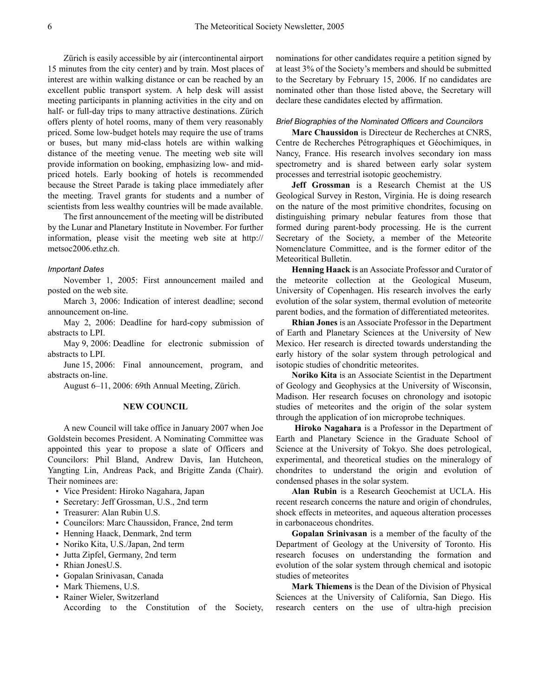Zürich is easily accessible by air (intercontinental airport 15 minutes from the city center) and by train. Most places of interest are within walking distance or can be reached by an excellent public transport system. A help desk will assist meeting participants in planning activities in the city and on half- or full-day trips to many attractive destinations. Zürich offers plenty of hotel rooms, many of them very reasonably priced. Some low-budget hotels may require the use of trams or buses, but many mid-class hotels are within walking distance of the meeting venue. The meeting web site will provide information on booking, emphasizing low- and midpriced hotels. Early booking of hotels is recommended because the Street Parade is taking place immediately after the meeting. Travel grants for students and a number of scientists from less wealthy countries will be made available.

The first announcement of the meeting will be distributed by the Lunar and Planetary Institute in November. For further [information, please visit the meeting web site at http://](http://metsoc2006.ethz.ch) metsoc2006.ethz.ch.

#### *Important Dates*

November 1, 2005: First announcement mailed and posted on the web site.

March 3, 2006: Indication of interest deadline; second announcement on-line.

May 2, 2006: Deadline for hard-copy submission of abstracts to LPI.

May 9, 2006: Deadline for electronic submission of abstracts to LPI.

June 15, 2006: Final announcement, program, and abstracts on-line.

August 6–11, 2006: 69th Annual Meeting, Zürich.

# **NEW COUNCIL**

A new Council will take office in January 2007 when Joe Goldstein becomes President. A Nominating Committee was appointed this year to propose a slate of Officers and Councilors: Phil Bland, Andrew Davis, Ian Hutcheon, Yangting Lin, Andreas Pack, and Brigitte Zanda (Chair). Their nominees are:

- Vice President: Hiroko Nagahara, Japan
- Secretary: Jeff Grossman, U.S., 2nd term
- Treasurer: Alan Rubin U.S.
- Councilors: Marc Chaussidon, France, 2nd term
- Henning Haack, Denmark, 2nd term
- Noriko Kita, U.S./Japan, 2nd term
- Jutta Zipfel, Germany, 2nd term
- Rhian JonesU.S.
- Gopalan Srinivasan, Canada
- Mark Thiemens, U.S.
- Rainer Wieler, Switzerland According to the Constitution of the Society,

nominations for other candidates require a petition signed by at least 3% of the Society's members and should be submitted to the Secretary by February 15, 2006. If no candidates are nominated other than those listed above, the Secretary will declare these candidates elected by affirmation.

# *Brief Biographies of the Nominated Officers and Councilors*

**Marc Chaussidon** is Directeur de Recherches at CNRS, Centre de Recherches Pétrographiques et Géochimiques, in Nancy, France. His research involves secondary ion mass spectrometry and is shared between early solar system processes and terrestrial isotopic geochemistry.

**Jeff Grossman** is a Research Chemist at the US Geological Survey in Reston, Virginia. He is doing research on the nature of the most primitive chondrites, focusing on distinguishing primary nebular features from those that formed during parent-body processing. He is the current Secretary of the Society, a member of the Meteorite Nomenclature Committee, and is the former editor of the Meteoritical Bulletin.

**Henning Haack** is an Associate Professor and Curator of the meteorite collection at the Geological Museum, University of Copenhagen. His research involves the early evolution of the solar system, thermal evolution of meteorite parent bodies, and the formation of differentiated meteorites.

**Rhian Jones** is an Associate Professor in the Department of Earth and Planetary Sciences at the University of New Mexico. Her research is directed towards understanding the early history of the solar system through petrological and isotopic studies of chondritic meteorites.

**Noriko Kita** is an Associate Scientist in the Department of Geology and Geophysics at the University of Wisconsin, Madison. Her research focuses on chronology and isotopic studies of meteorites and the origin of the solar system through the application of ion microprobe techniques.

**Hiroko Nagahara** is a Professor in the Department of Earth and Planetary Science in the Graduate School of Science at the University of Tokyo. She does petrological, experimental, and theoretical studies on the mineralogy of chondrites to understand the origin and evolution of condensed phases in the solar system.

**Alan Rubin** is a Research Geochemist at UCLA. His recent research concerns the nature and origin of chondrules, shock effects in meteorites, and aqueous alteration processes in carbonaceous chondrites.

**Gopalan Srinivasan** is a member of the faculty of the Department of Geology at the University of Toronto. His research focuses on understanding the formation and evolution of the solar system through chemical and isotopic studies of meteorites

**Mark Thiemens** is the Dean of the Division of Physical Sciences at the University of California, San Diego. His research centers on the use of ultra-high precision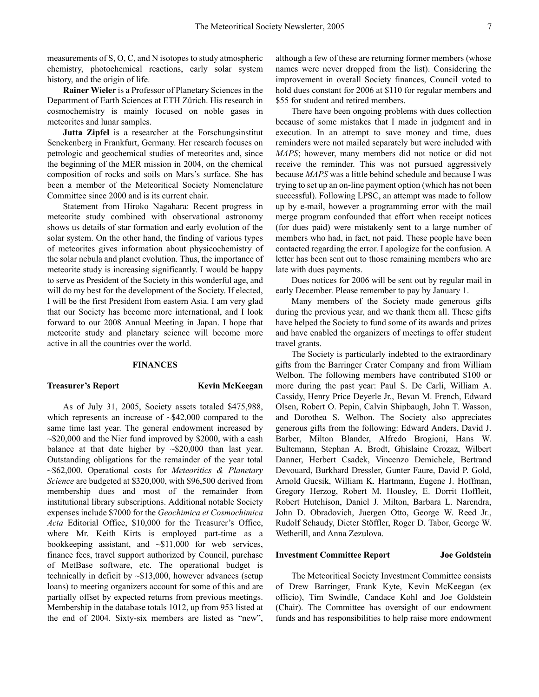measurements of S, O, C, and N isotopes to study atmospheric chemistry, photochemical reactions, early solar system history, and the origin of life.

**Rainer Wieler** is a Professor of Planetary Sciences in the Department of Earth Sciences at ETH Zürich. His research in cosmochemistry is mainly focused on noble gases in meteorites and lunar samples.

**Jutta Zipfel** is a researcher at the Forschungsinstitut Senckenberg in Frankfurt, Germany. Her research focuses on petrologic and geochemical studies of meteorites and, since the beginning of the MER mission in 2004, on the chemical composition of rocks and soils on Mars's surface. She has been a member of the Meteoritical Society Nomenclature Committee since 2000 and is its current chair.

Statement from Hiroko Nagahara: Recent progress in meteorite study combined with observational astronomy shows us details of star formation and early evolution of the solar system. On the other hand, the finding of various types of meteorites gives information about physicochemistry of the solar nebula and planet evolution. Thus, the importance of meteorite study is increasing significantly. I would be happy to serve as President of the Society in this wonderful age, and will do my best for the development of the Society. If elected, I will be the first President from eastern Asia. I am very glad that our Society has become more international, and I look forward to our 2008 Annual Meeting in Japan. I hope that meteorite study and planetary science will become more active in all the countries over the world.

#### **FINANCES**

# **Treasurer's Report Kevin McKeegan**

As of July 31, 2005, Society assets totaled \$475,988, which represents an increase of  $\sim $42,000$  compared to the same time last year. The general endowment increased by  $\sim$ \$20,000 and the Nier fund improved by \$2000, with a cash balance at that date higher by  $\sim$ \$20,000 than last year. Outstanding obligations for the remainder of the year total ~\$62,000. Operational costs for *Meteoritics & Planetary Science* are budgeted at \$320,000, with \$96,500 derived from membership dues and most of the remainder from institutional library subscriptions. Additional notable Society expenses include \$7000 for the *Geochimica et Cosmochimica Acta* Editorial Office, \$10,000 for the Treasurer's Office, where Mr. Keith Kirts is employed part-time as a bookkeeping assistant, and  $\sim $11,000$  for web services, finance fees, travel support authorized by Council, purchase of MetBase software, etc. The operational budget is technically in deficit by ~\$13,000, however advances (setup loans) to meeting organizers account for some of this and are partially offset by expected returns from previous meetings. Membership in the database totals 1012, up from 953 listed at the end of 2004. Sixty-six members are listed as "new",

although a few of these are returning former members (whose names were never dropped from the list). Considering the improvement in overall Society finances, Council voted to hold dues constant for 2006 at \$110 for regular members and \$55 for student and retired members.

There have been ongoing problems with dues collection because of some mistakes that I made in judgment and in execution. In an attempt to save money and time, dues reminders were not mailed separately but were included with *MAPS*; however, many members did not notice or did not receive the reminder. This was not pursued aggressively because *MAPS* was a little behind schedule and because I was trying to set up an on-line payment option (which has not been successful). Following LPSC, an attempt was made to follow up by e-mail, however a programming error with the mail merge program confounded that effort when receipt notices (for dues paid) were mistakenly sent to a large number of members who had, in fact, not paid. These people have been contacted regarding the error. I apologize for the confusion. A letter has been sent out to those remaining members who are late with dues payments.

Dues notices for 2006 will be sent out by regular mail in early December. Please remember to pay by January 1.

Many members of the Society made generous gifts during the previous year, and we thank them all. These gifts have helped the Society to fund some of its awards and prizes and have enabled the organizers of meetings to offer student travel grants.

The Society is particularly indebted to the extraordinary gifts from the Barringer Crater Company and from William Welbon. The following members have contributed \$100 or more during the past year: Paul S. De Carli, William A. Cassidy, Henry Price Deyerle Jr., Bevan M. French, Edward Olsen, Robert O. Pepin, Calvin Shipbaugh, John T. Wasson, and Dorothea S. Welbon. The Society also appreciates generous gifts from the following: Edward Anders, David J. Barber, Milton Blander, Alfredo Brogioni, Hans W. Bultemann, Stephan A. Brodt, Ghislaine Crozaz, Wilbert Danner, Herbert Csadek, Vincenzo Demichele, Bertrand Devouard, Burkhard Dressler, Gunter Faure, David P. Gold, Arnold Gucsik, William K. Hartmann, Eugene J. Hoffman, Gregory Herzog, Robert M. Housley, E. Dorrit Hoffleit, Robert Hutchison, Daniel J. Milton, Barbara L. Narendra, John D. Obradovich, Juergen Otto, George W. Reed Jr., Rudolf Schaudy, Dieter Stöffler, Roger D. Tabor, George W. Wetherill, and Anna Zezulova.

#### **Investment Committee Report Joe Goldstein**

The Meteoritical Society Investment Committee consists of Drew Barringer, Frank Kyte, Kevin McKeegan (ex officio), Tim Swindle, Candace Kohl and Joe Goldstein (Chair). The Committee has oversight of our endowment funds and has responsibilities to help raise more endowment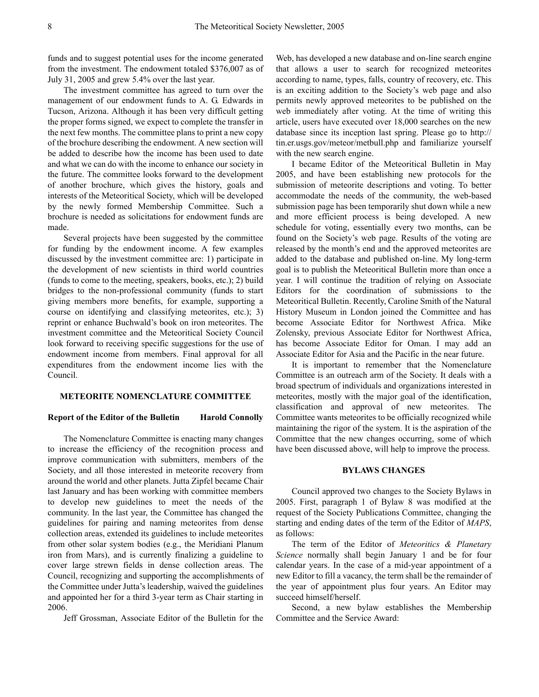funds and to suggest potential uses for the income generated from the investment. The endowment totaled \$376,007 as of July 31, 2005 and grew 5.4% over the last year.

The investment committee has agreed to turn over the management of our endowment funds to A. G. Edwards in Tucson, Arizona. Although it has been very difficult getting the proper forms signed, we expect to complete the transfer in the next few months. The committee plans to print a new copy of the brochure describing the endowment. A new section will be added to describe how the income has been used to date and what we can do with the income to enhance our society in the future. The committee looks forward to the development of another brochure, which gives the history, goals and interests of the Meteoritical Society, which will be developed by the newly formed Membership Committee. Such a brochure is needed as solicitations for endowment funds are made.

Several projects have been suggested by the committee for funding by the endowment income. A few examples discussed by the investment committee are: 1) participate in the development of new scientists in third world countries (funds to come to the meeting, speakers, books, etc.); 2) build bridges to the non-professional community (funds to start giving members more benefits, for example, supporting a course on identifying and classifying meteorites, etc.); 3) reprint or enhance Buchwald's book on iron meteorites. The investment committee and the Meteoritical Society Council look forward to receiving specific suggestions for the use of endowment income from members. Final approval for all expenditures from the endowment income lies with the Council.

# **METEORITE NOMENCLATURE COMMITTEE**

#### **Report of the Editor of the Bulletin Harold Connolly**

The Nomenclature Committee is enacting many changes to increase the efficiency of the recognition process and improve communication with submitters, members of the Society, and all those interested in meteorite recovery from around the world and other planets. Jutta Zipfel became Chair last January and has been working with committee members to develop new guidelines to meet the needs of the community. In the last year, the Committee has changed the guidelines for pairing and naming meteorites from dense collection areas, extended its guidelines to include meteorites from other solar system bodies (e.g., the Meridiani Planum iron from Mars), and is currently finalizing a guideline to cover large strewn fields in dense collection areas. The Council, recognizing and supporting the accomplishments of the Committee under Jutta's leadership, waived the guidelines and appointed her for a third 3-year term as Chair starting in 2006.

Jeff Grossman, Associate Editor of the Bulletin for the

Web, has developed a new database and on-line search engine that allows a user to search for recognized meteorites according to name, types, falls, country of recovery, etc. This is an exciting addition to the Society's web page and also permits newly approved meteorites to be published on the web immediately after voting. At the time of writing this article, users have executed over 18,000 searches on the new [database since its inception last spring. Please go to http://](http://tin.er.usgs.gov/meteor/metbull.php) tin.er.usgs.gov/meteor/metbull.php and familiarize yourself with the new search engine.

I became Editor of the Meteoritical Bulletin in May 2005, and have been establishing new protocols for the submission of meteorite descriptions and voting. To better accommodate the needs of the community, the web-based submission page has been temporarily shut down while a new and more efficient process is being developed. A new schedule for voting, essentially every two months, can be found on the Society's web page. Results of the voting are released by the month's end and the approved meteorites are added to the database and published on-line. My long-term goal is to publish the Meteoritical Bulletin more than once a year. I will continue the tradition of relying on Associate Editors for the coordination of submissions to the Meteoritical Bulletin. Recently, Caroline Smith of the Natural History Museum in London joined the Committee and has become Associate Editor for Northwest Africa. Mike Zolensky, previous Associate Editor for Northwest Africa, has become Associate Editor for Oman. I may add an Associate Editor for Asia and the Pacific in the near future.

It is important to remember that the Nomenclature Committee is an outreach arm of the Society. It deals with a broad spectrum of individuals and organizations interested in meteorites, mostly with the major goal of the identification, classification and approval of new meteorites. The Committee wants meteorites to be officially recognized while maintaining the rigor of the system. It is the aspiration of the Committee that the new changes occurring, some of which have been discussed above, will help to improve the process.

### **BYLAWS CHANGES**

Council approved two changes to the Society Bylaws in 2005. First, paragraph 1 of Bylaw 8 was modified at the request of the Society Publications Committee, changing the starting and ending dates of the term of the Editor of *MAPS*, as follows:

The term of the Editor of *Meteoritics & Planetary Science* normally shall begin January 1 and be for four calendar years. In the case of a mid-year appointment of a new Editor to fill a vacancy, the term shall be the remainder of the year of appointment plus four years. An Editor may succeed himself/herself.

Second, a new bylaw establishes the Membership Committee and the Service Award: